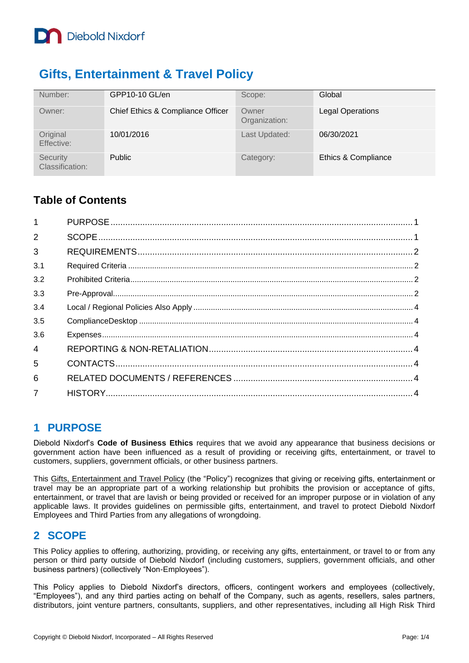

## **Gifts, Entertainment & Travel Policy**

| Number:                     | GPP10-10 GL/en                    | Scope:                 | Global                  |
|-----------------------------|-----------------------------------|------------------------|-------------------------|
| Owner:                      | Chief Ethics & Compliance Officer | Owner<br>Organization: | <b>Legal Operations</b> |
| Original<br>Effective:      | 10/01/2016                        | Last Updated:          | 06/30/2021              |
| Security<br>Classification: | <b>Public</b>                     | Category:              | Ethics & Compliance     |

### **Table of Contents**

| $\overline{1}$ |  |
|----------------|--|
| $\overline{2}$ |  |
| 3              |  |
| 3.1            |  |
| 3.2            |  |
| 3.3            |  |
| 3.4            |  |
| 3.5            |  |
| 3.6            |  |
| $\overline{4}$ |  |
| 5              |  |
| 6              |  |
| $\overline{7}$ |  |

#### <span id="page-0-0"></span>**1 PURPOSE**

Diebold Nixdorf's **Code of Business Ethics** requires that we avoid any appearance that business decisions or government action have been influenced as a result of providing or receiving gifts, entertainment, or travel to customers, suppliers, government officials, or other business partners.

This Gifts, Entertainment and Travel Policy (the "Policy") recognizes that giving or receiving gifts, entertainment or travel may be an appropriate part of a working relationship but prohibits the provision or acceptance of gifts, entertainment, or travel that are lavish or being provided or received for an improper purpose or in violation of any applicable laws. It provides guidelines on permissible gifts, entertainment, and travel to protect Diebold Nixdorf Employees and Third Parties from any allegations of wrongdoing.

#### <span id="page-0-1"></span>**2 SCOPE**

This Policy applies to offering, authorizing, providing, or receiving any gifts, entertainment, or travel to or from any person or third party outside of Diebold Nixdorf (including customers, suppliers, government officials, and other business partners) (collectively "Non-Employees").

This Policy applies to Diebold Nixdorf's directors, officers, contingent workers and employees (collectively, "Employees"), and any third parties acting on behalf of the Company, such as agents, resellers, sales partners, distributors, joint venture partners, consultants, suppliers, and other representatives, including all High Risk Third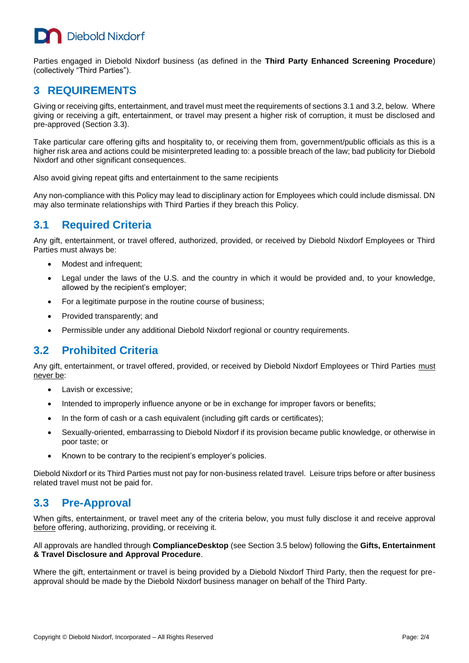# **Diebold Nixdorf**

Parties engaged in Diebold Nixdorf business (as defined in the **Third Party Enhanced Screening Procedure**) (collectively "Third Parties").

#### <span id="page-1-0"></span>**3 REQUIREMENTS**

Giving or receiving gifts, entertainment, and travel must meet the requirements of sections 3.1 and 3.2, below. Where giving or receiving a gift, entertainment, or travel may present a higher risk of corruption, it must be disclosed and pre-approved (Section 3.3).

Take particular care offering gifts and hospitality to, or receiving them from, government/public officials as this is a higher risk area and actions could be misinterpreted leading to: a possible breach of the law; bad publicity for Diebold Nixdorf and other significant consequences.

Also avoid giving repeat gifts and entertainment to the same recipients

Any non-compliance with this Policy may lead to disciplinary action for Employees which could include dismissal. DN may also terminate relationships with Third Parties if they breach this Policy.

### <span id="page-1-1"></span>**3.1 Required Criteria**

Any gift, entertainment, or travel offered, authorized, provided, or received by Diebold Nixdorf Employees or Third Parties must always be:

- Modest and infrequent;
- Legal under the laws of the U.S. and the country in which it would be provided and, to your knowledge, allowed by the recipient's employer;
- For a legitimate purpose in the routine course of business;
- Provided transparently; and
- Permissible under any additional Diebold Nixdorf regional or country requirements.

#### <span id="page-1-2"></span>**3.2 Prohibited Criteria**

Any gift, entertainment, or travel offered, provided, or received by Diebold Nixdorf Employees or Third Parties must never be:

- Lavish or excessive;
- Intended to improperly influence anyone or be in exchange for improper favors or benefits;
- In the form of cash or a cash equivalent (including gift cards or certificates);
- Sexually-oriented, embarrassing to Diebold Nixdorf if its provision became public knowledge, or otherwise in poor taste; or
- Known to be contrary to the recipient's employer's policies.

Diebold Nixdorf or its Third Parties must not pay for non-business related travel. Leisure trips before or after business related travel must not be paid for.

#### <span id="page-1-3"></span>**3.3 Pre-Approval**

When gifts, entertainment, or travel meet any of the criteria below, you must fully disclose it and receive approval before offering, authorizing, providing, or receiving it.

All approvals are handled through **ComplianceDesktop** (see Section 3.5 below) following the **Gifts, Entertainment & Travel Disclosure and Approval Procedure**.

Where the gift, entertainment or travel is being provided by a Diebold Nixdorf Third Party, then the request for preapproval should be made by the Diebold Nixdorf business manager on behalf of the Third Party.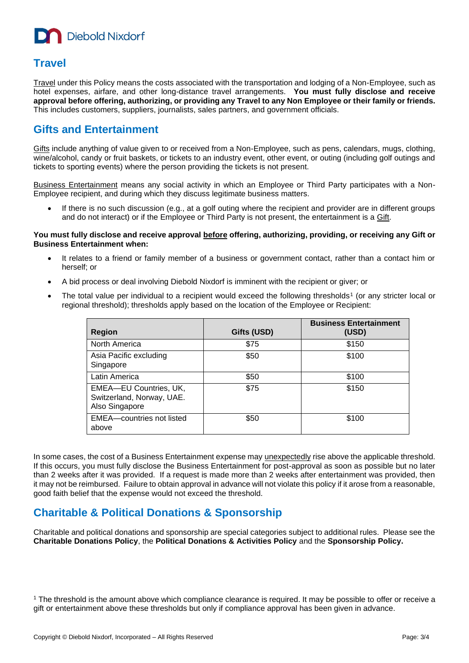**Diebold Nixdorf** 

#### **Travel**

Travel under this Policy means the costs associated with the transportation and lodging of a Non-Employee, such as hotel expenses, airfare, and other long-distance travel arrangements. **You must fully disclose and receive approval before offering, authorizing, or providing any Travel to any Non Employee or their family or friends.** This includes customers, suppliers, journalists, sales partners, and government officials.

#### **Gifts and Entertainment**

Gifts include anything of value given to or received from a Non-Employee, such as pens, calendars, mugs, clothing, wine/alcohol, candy or fruit baskets, or tickets to an industry event, other event, or outing (including golf outings and tickets to sporting events) where the person providing the tickets is not present.

Business Entertainment means any social activity in which an Employee or Third Party participates with a Non-Employee recipient, and during which they discuss legitimate business matters.

If there is no such discussion (e.g., at a golf outing where the recipient and provider are in different groups and do not interact) or if the Employee or Third Party is not present, the entertainment is a Gift.

#### **You must fully disclose and receive approval before offering, authorizing, providing, or receiving any Gift or Business Entertainment when:**

- It relates to a friend or family member of a business or government contact, rather than a contact him or herself; or
- A bid process or deal involving Diebold Nixdorf is imminent with the recipient or giver; or
- The total value per individual to a recipient would exceed the following thresholds<sup>1</sup> (or any stricter local or regional threshold); thresholds apply based on the location of the Employee or Recipient:

| <b>Region</b>                                                         | Gifts (USD) | <b>Business Entertainment</b><br>(USD) |
|-----------------------------------------------------------------------|-------------|----------------------------------------|
| North America                                                         | \$75        | \$150                                  |
| Asia Pacific excluding<br>Singapore                                   | \$50        | \$100                                  |
| Latin America                                                         | \$50        | \$100                                  |
| EMEA-EU Countries, UK,<br>Switzerland, Norway, UAE.<br>Also Singapore | \$75        | \$150                                  |
| EMEA-countries not listed<br>above                                    | \$50        | \$100                                  |

In some cases, the cost of a Business Entertainment expense may unexpectedly rise above the applicable threshold. If this occurs, you must fully disclose the Business Entertainment for post-approval as soon as possible but no later than 2 weeks after it was provided. If a request is made more than 2 weeks after entertainment was provided, then it may not be reimbursed. Failure to obtain approval in advance will not violate this policy if it arose from a reasonable, good faith belief that the expense would not exceed the threshold.

#### **Charitable & Political Donations & Sponsorship**

Charitable and political donations and sponsorship are special categories subject to additional rules. Please see the **Charitable Donations Policy**, the **Political Donations & Activities Policy** and the **Sponsorship Policy.**

<sup>1</sup> The threshold is the amount above which compliance clearance is required. It may be possible to offer or receive a gift or entertainment above these thresholds but only if compliance approval has been given in advance.